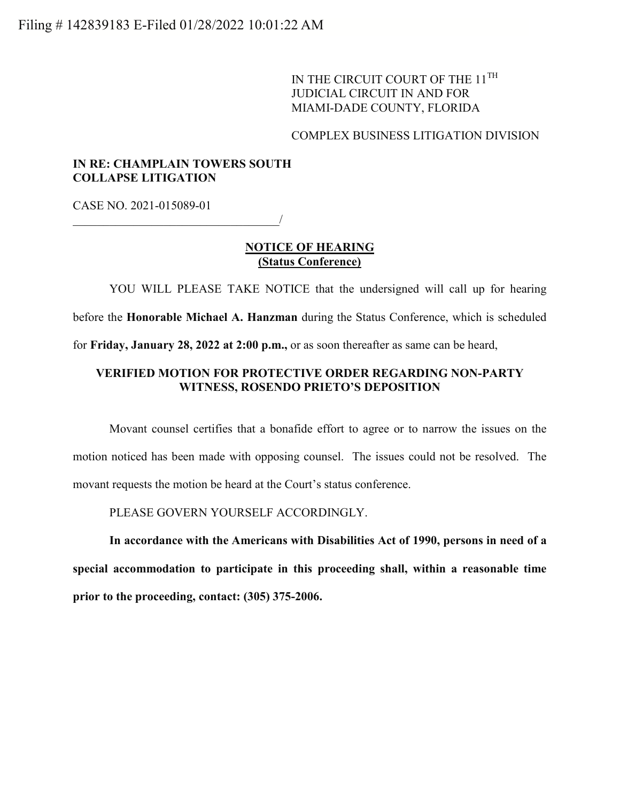IN THE CIRCUIT COURT OF THE 11<sup>TH</sup> JUDICIAL CIRCUIT IN AND FOR MIAMI-DADE COUNTY, FLORIDA

## COMPLEX BUSINESS LITIGATION DIVISION

## **IN RE: CHAMPLAIN TOWERS SOUTH COLLAPSE LITIGATION**

CASE NO. 2021-015089-01

 $\overline{\phantom{a}}$ 

### **NOTICE OF HEARING (Status Conference)**

YOU WILL PLEASE TAKE NOTICE that the undersigned will call up for hearing before the **Honorable Michael A. Hanzman** during the Status Conference, which is scheduled for **Friday, January 28, 2022 at 2:00 p.m.,** or as soon thereafter as same can be heard,

# **VERIFIED MOTION FOR PROTECTIVE ORDER REGARDING NON-PARTY WITNESS, ROSENDO PRIETO'S DEPOSITION**

Movant counsel certifies that a bonafide effort to agree or to narrow the issues on the motion noticed has been made with opposing counsel. The issues could not be resolved. The movant requests the motion be heard at the Court's status conference.

PLEASE GOVERN YOURSELF ACCORDINGLY.

**In accordance with the Americans with Disabilities Act of 1990, persons in need of a special accommodation to participate in this proceeding shall, within a reasonable time prior to the proceeding, contact: (305) 375-2006.**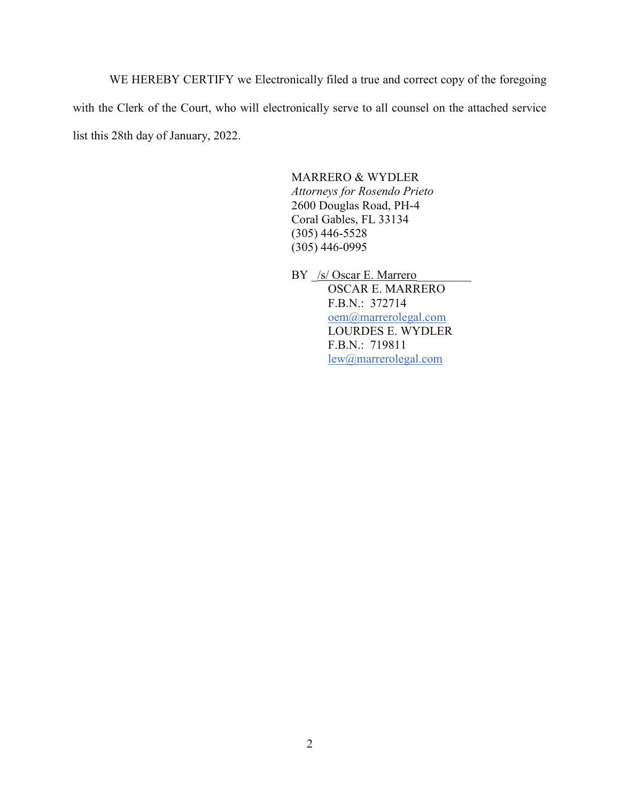WE HEREBY CERTIFY we Electronically filed a true and correct copy of the foregoing with the Clerk of the Court, who will electronically serve to all counsel on the attached service list this 28th day of January, 2022.

#### MARRERO & WYDLER

*Attorneys for Rosendo Prieto* 2600 Douglas Road, PH-4 Coral Gables, FL 33134 (305) 446-5528  $(305)$  446-0995

BY *S* Oscar E. Marrero OSCAR E. MARRERO F.B.N.: 372714 [oem@marrerolegal.com](mailto:oem@marrerolegal.com)  LOURDES E. WYDLER F.B.N.: 719811 [lew@marrerolegal.com](mailto:lew@marrerolegal.com)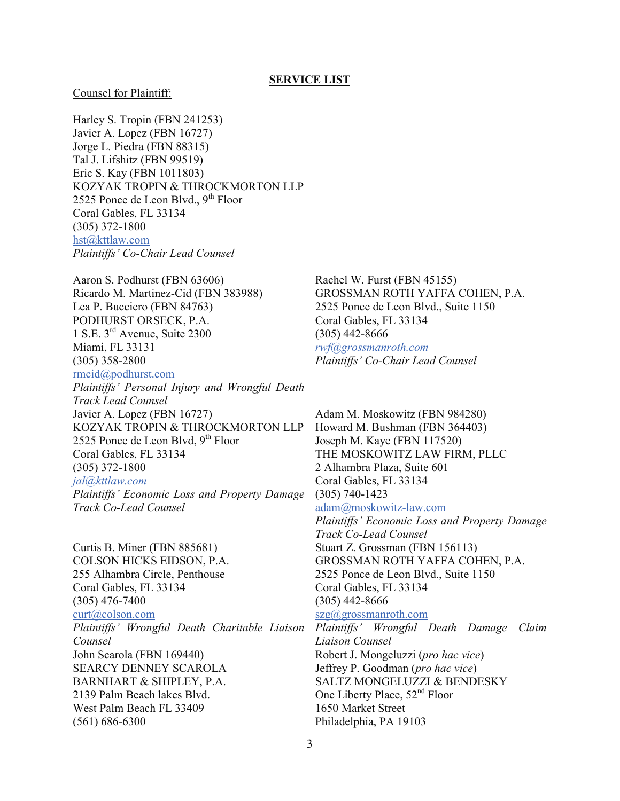#### Counsel for Plaintiff:

Harley S. Tropin (FBN 241253) Javier A. Lopez (FBN 16727) Jorge L. Piedra (FBN 88315) Tal J. Lifshitz (FBN 99519) Eric S. Kay (FBN 1011803) KOZYAK TROPIN & THROCKMORTON LLP 2525 Ponce de Leon Blvd.,  $9<sup>th</sup>$  Floor Coral Gables, FL 33134 (305) 372-1800 [hst@kttlaw.com](mailto:hst@kttlaw.com) *Plaintiffs' Co-Chair Lead Counsel*

Aaron S. Podhurst (FBN 63606) Ricardo M. Martinez-Cid (FBN 383988) Lea P. Bucciero (FBN 84763) PODHURST ORSECK, P.A. 1 S.E. 3rd Avenue, Suite 2300 Miami, FL 33131 (305) 358-2800 [rmcid@podhurst.com](mailto:rmcid@podhurst.com)

*Plaintiffs' Personal Injury and Wrongful Death Track Lead Counsel* Javier A. Lopez (FBN 16727) KOZYAK TROPIN & THROCKMORTON LLP 2525 Ponce de Leon Blvd,  $9<sup>th</sup>$  Floor Coral Gables, FL 33134 (305) 372-1800 *[jal@kttlaw.com](mailto:jal@kttlaw.com) Plaintiffs' Economic Loss and Property Damage Track Co-Lead Counsel*

Curtis B. Miner (FBN 885681) COLSON HICKS EIDSON, P.A. 255 Alhambra Circle, Penthouse Coral Gables, FL 33134 (305) 476-7400 [curt@colson.com](mailto:curt@colson.com) *Plaintiffs' Wrongful Death Charitable Liaison Counsel* John Scarola (FBN 169440) SEARCY DENNEY SCAROLA BARNHART & SHIPLEY, P.A. 2139 Palm Beach lakes Blvd. West Palm Beach FL 33409 (561) 686-6300

Rachel W. Furst (FBN 45155) GROSSMAN ROTH YAFFA COHEN, P.A. 2525 Ponce de Leon Blvd., Suite 1150 Coral Gables, FL 33134 (305) 442-8666 *[rwf@grossmanroth.com](mailto:rwf@grossmanroth.com) Plaintiffs' Co-Chair Lead Counsel*

Adam M. Moskowitz (FBN 984280) Howard M. Bushman (FBN 364403) Joseph M. Kaye (FBN 117520) THE MOSKOWITZ LAW FIRM, PLLC 2 Alhambra Plaza, Suite 601 Coral Gables, FL 33134 (305) 740-1423 [adam@moskowitz-law.com](mailto:adam@moskowitz-law.com) *Plaintiffs' Economic Loss and Property Damage Track Co-Lead Counsel* Stuart Z. Grossman (FBN 156113) GROSSMAN ROTH YAFFA COHEN, P.A. 2525 Ponce de Leon Blvd., Suite 1150 Coral Gables, FL 33134 (305) 442-8666 [szg@grossmanroth.com](mailto:szg@grossmanroth.com)

*Plaintiffs' Wrongful Death Damage Claim Liaison Counsel* Robert J. Mongeluzzi (*pro hac vice*) Jeffrey P. Goodman (*pro hac vice*) SALTZ MONGELUZZI & BENDESKY One Liberty Place,  $52<sup>nd</sup>$  Floor 1650 Market Street Philadelphia, PA 19103